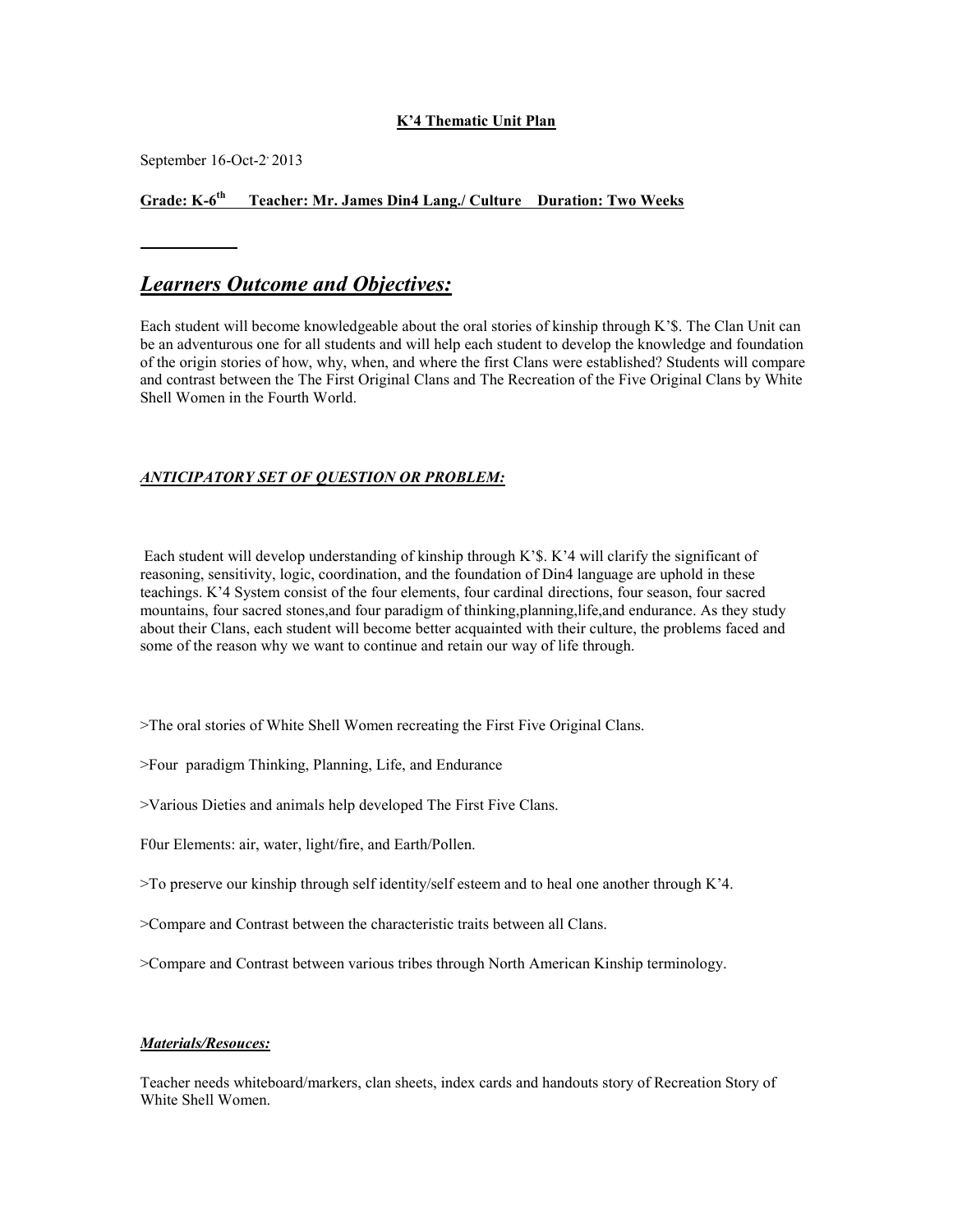#### **K'4 Thematic Unit Plan**

September 16-Oct-2' 2013

#### **Grade: K-6 th Teacher: Mr. James Din4 Lang./ Culture Duration: Two Weeks**

#### *Learners Outcome and Objectives:*

Each student will become knowledgeable about the oral stories of kinship through K'\$. The Clan Unit can be an adventurous one for all students and will help each student to develop the knowledge and foundation of the origin stories of how, why, when, and where the first Clans were established? Students will compare and contrast between the The First Original Clans and The Recreation of the Five Original Clans by White Shell Women in the Fourth World.

#### *ANTICIPATORY SET OF QUESTION OR PROBLEM:*

Each student will develop understanding of kinship through K'\$. K'4 will clarify the significant of reasoning, sensitivity, logic, coordination, and the foundation of Din4 language are uphold in these teachings. K'4 System consist of the four elements, four cardinal directions, four season, four sacred mountains, four sacred stones,and four paradigm of thinking,planning,life,and endurance. As they study about their Clans, each student will become better acquainted with their culture, the problems faced and some of the reason why we want to continue and retain our way of life through.

>The oral stories of White Shell Women recreating the First Five Original Clans.

>Four paradigm Thinking, Planning, Life, and Endurance

>Various Dieties and animals help developed The First Five Clans.

F0ur Elements: air, water, light/fire, and Earth/Pollen.

>To preserve our kinship through self identity/self esteem and to heal one another through K'4.

>Compare and Contrast between the characteristic traits between all Clans.

>Compare and Contrast between various tribes through North American Kinship terminology.

#### *Materials/Resouces:*

Teacher needs whiteboard/markers, clan sheets, index cards and handouts story of Recreation Story of White Shell Women.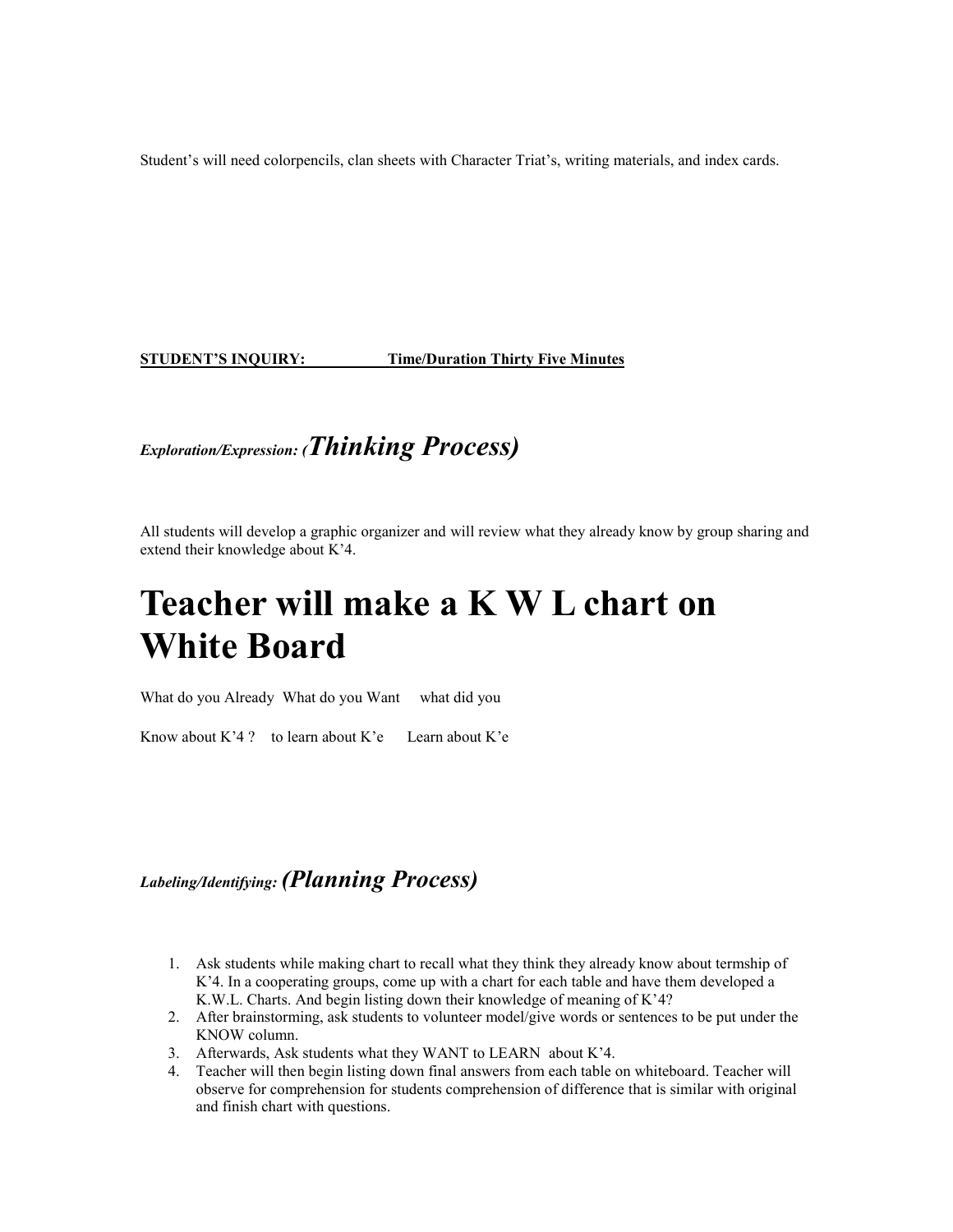Student's will need colorpencils, clan sheets with Character Triat's, writing materials, and index cards.

**STUDENT'S INQUIRY: Time/Duration Thirty Five Minutes**

## *Exploration/Expression: (Thinking Process)*

All students will develop a graphic organizer and will review what they already know by group sharing and extend their knowledge about K'4.

# **Teacher will make a K W L chart on White Board**

What do you Already What do you Want what did you

Know about K'4 ? to learn about K'e Learn about K'e

### *Labeling/Identifying: (Planning Process)*

- 1. Ask students while making chart to recall what they think they already know about termship of K'4. In a cooperating groups, come up with a chart for each table and have them developed a K.W.L. Charts. And begin listing down their knowledge of meaning of K'4?
- 2. After brainstorming, ask students to volunteer model/give words or sentences to be put under the KNOW column.
- 3. Afterwards, Ask students what they WANT to LEARN about K'4.
- 4. Teacher will then begin listing down final answers from each table on whiteboard. Teacher will observe for comprehension for students comprehension of difference that is similar with original and finish chart with questions.